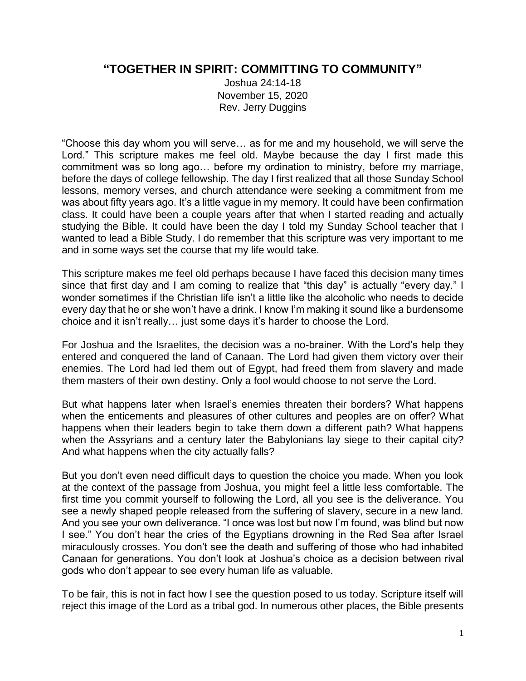## **"TOGETHER IN SPIRIT: COMMITTING TO COMMUNITY"**

Joshua 24:14-18 November 15, 2020 Rev. Jerry Duggins

"Choose this day whom you will serve… as for me and my household, we will serve the Lord." This scripture makes me feel old. Maybe because the day I first made this commitment was so long ago… before my ordination to ministry, before my marriage, before the days of college fellowship. The day I first realized that all those Sunday School lessons, memory verses, and church attendance were seeking a commitment from me was about fifty years ago. It's a little vague in my memory. It could have been confirmation class. It could have been a couple years after that when I started reading and actually studying the Bible. It could have been the day I told my Sunday School teacher that I wanted to lead a Bible Study. I do remember that this scripture was very important to me and in some ways set the course that my life would take.

This scripture makes me feel old perhaps because I have faced this decision many times since that first day and I am coming to realize that "this day" is actually "every day." I wonder sometimes if the Christian life isn't a little like the alcoholic who needs to decide every day that he or she won't have a drink. I know I'm making it sound like a burdensome choice and it isn't really… just some days it's harder to choose the Lord.

For Joshua and the Israelites, the decision was a no-brainer. With the Lord's help they entered and conquered the land of Canaan. The Lord had given them victory over their enemies. The Lord had led them out of Egypt, had freed them from slavery and made them masters of their own destiny. Only a fool would choose to not serve the Lord.

But what happens later when Israel's enemies threaten their borders? What happens when the enticements and pleasures of other cultures and peoples are on offer? What happens when their leaders begin to take them down a different path? What happens when the Assyrians and a century later the Babylonians lay siege to their capital city? And what happens when the city actually falls?

But you don't even need difficult days to question the choice you made. When you look at the context of the passage from Joshua, you might feel a little less comfortable. The first time you commit yourself to following the Lord, all you see is the deliverance. You see a newly shaped people released from the suffering of slavery, secure in a new land. And you see your own deliverance. "I once was lost but now I'm found, was blind but now I see." You don't hear the cries of the Egyptians drowning in the Red Sea after Israel miraculously crosses. You don't see the death and suffering of those who had inhabited Canaan for generations. You don't look at Joshua's choice as a decision between rival gods who don't appear to see every human life as valuable.

To be fair, this is not in fact how I see the question posed to us today. Scripture itself will reject this image of the Lord as a tribal god. In numerous other places, the Bible presents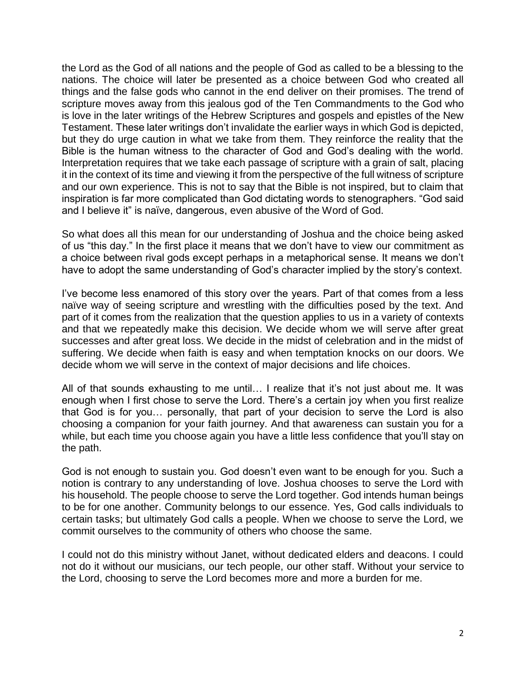the Lord as the God of all nations and the people of God as called to be a blessing to the nations. The choice will later be presented as a choice between God who created all things and the false gods who cannot in the end deliver on their promises. The trend of scripture moves away from this jealous god of the Ten Commandments to the God who is love in the later writings of the Hebrew Scriptures and gospels and epistles of the New Testament. These later writings don't invalidate the earlier ways in which God is depicted, but they do urge caution in what we take from them. They reinforce the reality that the Bible is the human witness to the character of God and God's dealing with the world. Interpretation requires that we take each passage of scripture with a grain of salt, placing it in the context of its time and viewing it from the perspective of the full witness of scripture and our own experience. This is not to say that the Bible is not inspired, but to claim that inspiration is far more complicated than God dictating words to stenographers. "God said and I believe it" is naïve, dangerous, even abusive of the Word of God.

So what does all this mean for our understanding of Joshua and the choice being asked of us "this day." In the first place it means that we don't have to view our commitment as a choice between rival gods except perhaps in a metaphorical sense. It means we don't have to adopt the same understanding of God's character implied by the story's context.

I've become less enamored of this story over the years. Part of that comes from a less naïve way of seeing scripture and wrestling with the difficulties posed by the text. And part of it comes from the realization that the question applies to us in a variety of contexts and that we repeatedly make this decision. We decide whom we will serve after great successes and after great loss. We decide in the midst of celebration and in the midst of suffering. We decide when faith is easy and when temptation knocks on our doors. We decide whom we will serve in the context of major decisions and life choices.

All of that sounds exhausting to me until… I realize that it's not just about me. It was enough when I first chose to serve the Lord. There's a certain joy when you first realize that God is for you… personally, that part of your decision to serve the Lord is also choosing a companion for your faith journey. And that awareness can sustain you for a while, but each time you choose again you have a little less confidence that you'll stay on the path.

God is not enough to sustain you. God doesn't even want to be enough for you. Such a notion is contrary to any understanding of love. Joshua chooses to serve the Lord with his household. The people choose to serve the Lord together. God intends human beings to be for one another. Community belongs to our essence. Yes, God calls individuals to certain tasks; but ultimately God calls a people. When we choose to serve the Lord, we commit ourselves to the community of others who choose the same.

I could not do this ministry without Janet, without dedicated elders and deacons. I could not do it without our musicians, our tech people, our other staff. Without your service to the Lord, choosing to serve the Lord becomes more and more a burden for me.